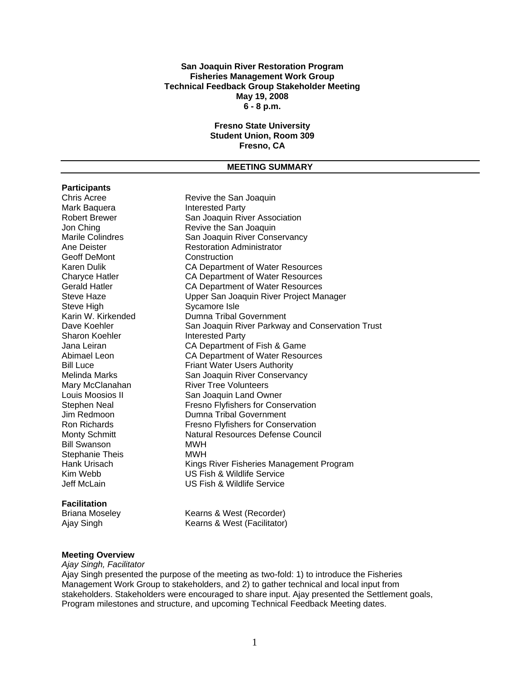#### **San Joaquin River Restoration Program Fisheries Management Work Group Technical Feedback Group Stakeholder Meeting May 19, 2008 6 - 8 p.m.**

# **Fresno State University Student Union, Room 309 Fresno, CA**

#### **MEETING SUMMARY**

# **Participants**

Mark Baquera **Interested Party** Geoff DeMont Construction Steve High Sycamore Isle<br>
Karin W. Kirkended Manna Tribal Bill Swanson MWH Stephanie Theis<br>
Hank Urisach<br>
Kings Kim Webb US Fish & Wildlife Service

#### **Facilitation**

Revive the San Joaquin Robert Brewer San Joaquin River Association Jon Ching **Change Communist Contract Contract Contract Contract Contract Contract Contract Contract Contract Contract Contract Contract Contract Contract Contract Contract Contract Contract Contract Contract Contract Contr** Marile Colindres San Joaquin River Conservancy Ane Deister **Restoration Administrator** Karen Dulik CA Department of Water Resources Charyce Hatler CA Department of Water Resources Gerald Hatler **CA Department of Water Resources** Steve Haze **Easily Steve Haze** Upper San Joaquin River Project Manager Dumna Tribal Government Dave Koehler San Joaquin River Parkway and Conservation Trust<br>Sharon Koehler Sharon Interested Party **Interested Party** Jana Leiran CA Department of Fish & Game Abimael Leon CA Department of Water Resources **Bill Luce Friant Water Users Authority** Melinda Marks San Joaquin River Conservancy Mary McClanahan River Tree Volunteers Louis Moosios II San Joaquin Land Owner Stephen Neal Fresno Flyfishers for Conservation Jim Redmoon Dumna Tribal Government Fresno Flyfishers for Conservation Monty Schmitt Natural Resources Defense Council Kings River Fisheries Management Program **US Fish & Wildlife Service** 

Briana Moseley Kearns & West (Recorder) Ajay Singh Kearns & West (Facilitator)

#### **Meeting Overview**

*Ajay Singh, Facilitator* 

Ajay Singh presented the purpose of the meeting as two-fold: 1) to introduce the Fisheries Management Work Group to stakeholders, and 2) to gather technical and local input from stakeholders. Stakeholders were encouraged to share input. Ajay presented the Settlement goals, Program milestones and structure, and upcoming Technical Feedback Meeting dates.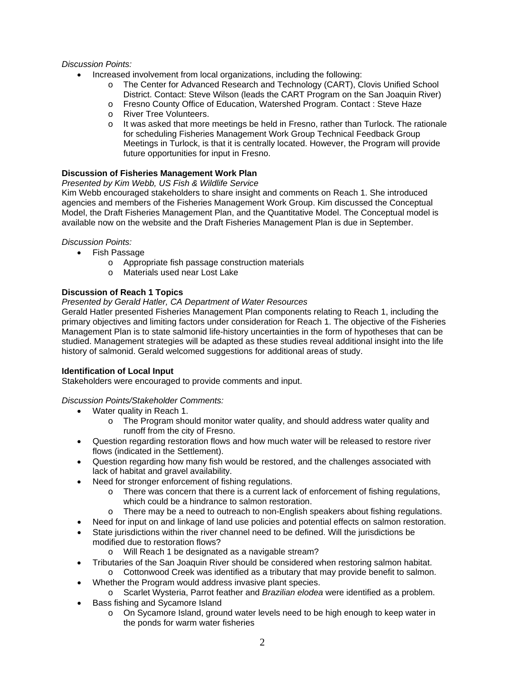# *Discussion Points:*

- Increased involvement from local organizations, including the following:
	- o The Center for Advanced Research and Technology (CART), Clovis Unified School District. Contact: Steve Wilson (leads the CART Program on the San Joaquin River)
	- o Fresno County Office of Education, Watershed Program. Contact : Steve Haze
	- o River Tree Volunteers.
	- $\circ$  It was asked that more meetings be held in Fresno, rather than Turlock. The rationale for scheduling Fisheries Management Work Group Technical Feedback Group Meetings in Turlock, is that it is centrally located. However, the Program will provide future opportunities for input in Fresno.

## **Discussion of Fisheries Management Work Plan**

## *Presented by Kim Webb, US Fish & Wildlife Service*

Kim Webb encouraged stakeholders to share insight and comments on Reach 1. She introduced agencies and members of the Fisheries Management Work Group. Kim discussed the Conceptual Model, the Draft Fisheries Management Plan, and the Quantitative Model. The Conceptual model is available now on the website and the Draft Fisheries Management Plan is due in September.

### *Discussion Points:*

- Fish Passage
	- o Appropriate fish passage construction materials
	- o Materials used near Lost Lake

# **Discussion of Reach 1 Topics**

# *Presented by Gerald Hatler, CA Department of Water Resources*

Gerald Hatler presented Fisheries Management Plan components relating to Reach 1, including the primary objectives and limiting factors under consideration for Reach 1. The objective of the Fisheries Management Plan is to state salmonid life-history uncertainties in the form of hypotheses that can be studied. Management strategies will be adapted as these studies reveal additional insight into the life history of salmonid. Gerald welcomed suggestions for additional areas of study.

### **Identification of Local Input**

Stakeholders were encouraged to provide comments and input.

# *Discussion Points/Stakeholder Comments:*

- Water quality in Reach 1.
	- $\circ$  The Program should monitor water quality, and should address water quality and runoff from the city of Fresno.
- Question regarding restoration flows and how much water will be released to restore river flows (indicated in the Settlement).
- Question regarding how many fish would be restored, and the challenges associated with lack of habitat and gravel availability.
- Need for stronger enforcement of fishing regulations.
	- $\circ$  There was concern that there is a current lack of enforcement of fishing regulations, which could be a hindrance to salmon restoration.
	- o There may be a need to outreach to non-English speakers about fishing regulations.
- Need for input on and linkage of land use policies and potential effects on salmon restoration.
- State jurisdictions within the river channel need to be defined. Will the jurisdictions be modified due to restoration flows?
	- o Will Reach 1 be designated as a navigable stream?
	- Tributaries of the San Joaquin River should be considered when restoring salmon habitat.
		- $\circ$  Cottonwood Creek was identified as a tributary that may provide benefit to salmon.
- Whether the Program would address invasive plant species.
- o Scarlet Wysteria, Parrot feather and *Brazilian elodea* were identified as a problem.
- Bass fishing and Sycamore Island
	- o On Sycamore Island, ground water levels need to be high enough to keep water in the ponds for warm water fisheries